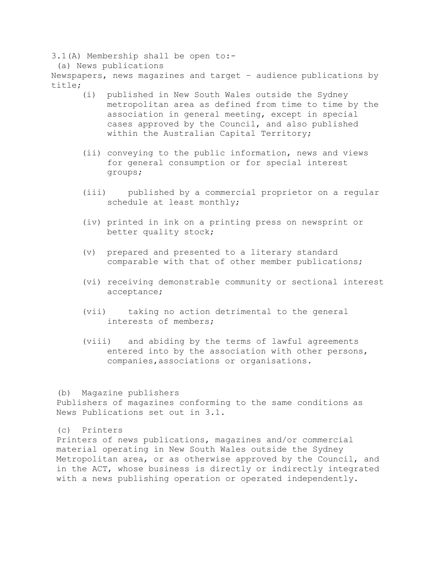3.1(A) Membership shall be open to:- (a) News publications Newspapers, news magazines and target – audience publications by title;

- (i) published in New South Wales outside the Sydney metropolitan area as defined from time to time by the association in general meeting, except in special cases approved by the Council, and also published within the Australian Capital Territory;
- (ii) conveying to the public information, news and views for general consumption or for special interest groups;
- (iii) published by a commercial proprietor on a regular schedule at least monthly;
- (iv) printed in ink on a printing press on newsprint or better quality stock;
- (v) prepared and presented to a literary standard comparable with that of other member publications;
- (vi) receiving demonstrable community or sectional interest acceptance;
- (vii) taking no action detrimental to the general interests of members;
- (viii) and abiding by the terms of lawful agreements entered into by the association with other persons, companies,associations or organisations.

(b) Magazine publishers Publishers of magazines conforming to the same conditions as News Publications set out in 3.1.

(c) Printers

Printers of news publications, magazines and/or commercial material operating in New South Wales outside the Sydney Metropolitan area, or as otherwise approved by the Council, and in the ACT, whose business is directly or indirectly integrated with a news publishing operation or operated independently.